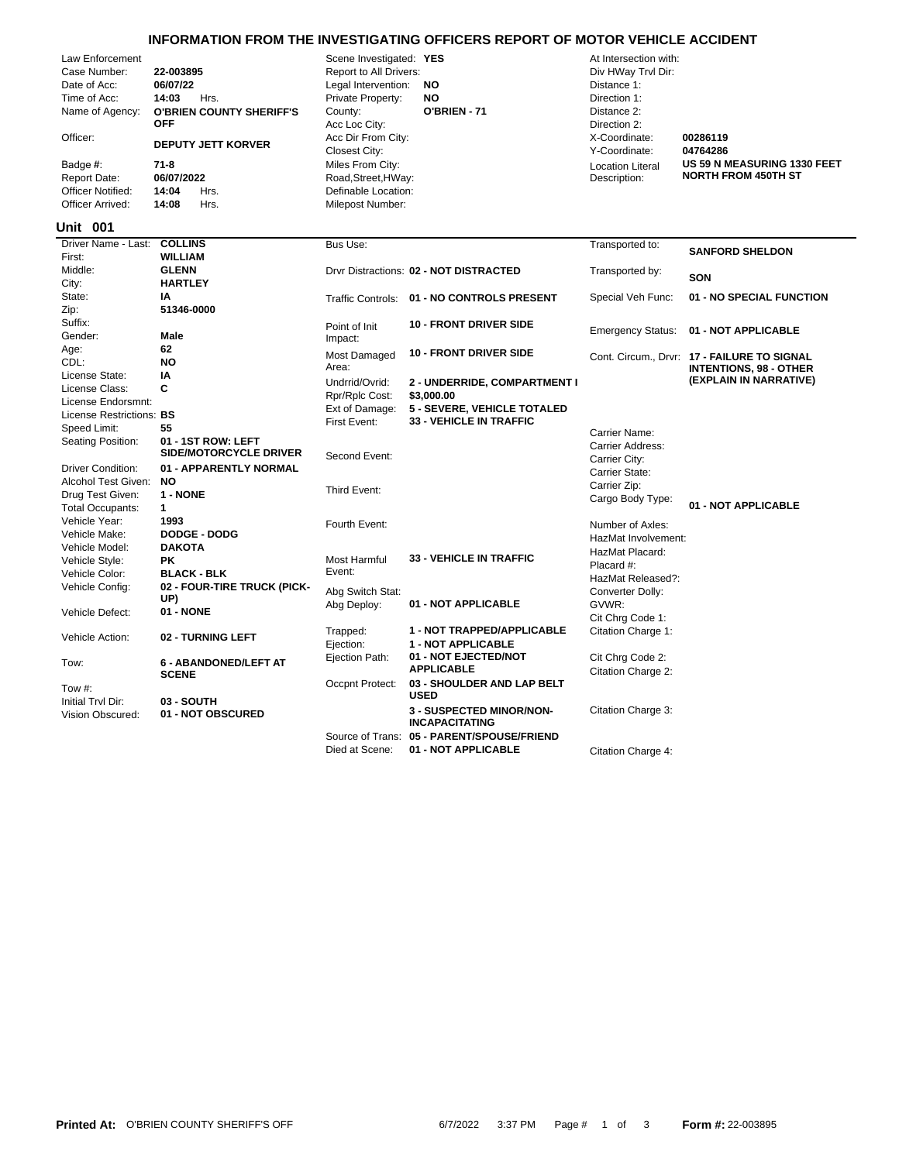## **INFORMATION FROM THE INVESTIGATING OFFICERS REPORT OF MOTOR VEHICLE ACCIDENT**

| Law Eniolcenient         |                                 | OCCHE INVESTIGATED. <b>ILO</b> |              | ALTHEISECUOIT WILL      |                  |
|--------------------------|---------------------------------|--------------------------------|--------------|-------------------------|------------------|
| Case Number:             | 22-003895                       | Report to All Drivers:         |              | Div HWay Trvl Dir:      |                  |
| Date of Acc:             | 06/07/22                        | Legal Intervention:<br>NO.     |              | Distance 1:             |                  |
| Time of Acc:             | Hrs.<br>14:03                   | Private Property:              | NO.          | Direction 1:            |                  |
| Name of Agency:          | <b>O'BRIEN COUNTY SHERIFF'S</b> | County:                        | O'BRIEN - 71 | Distance 2:             |                  |
|                          | <b>OFF</b>                      | Acc Loc City:                  |              | Direction 2:            |                  |
| Officer:                 | <b>DEPUTY JETT KORVER</b>       | Acc Dir From City:             |              | X-Coordinate:           | 00286119         |
|                          |                                 | Closest City:                  |              | Y-Coordinate:           | 04764286         |
| Badge #:                 | 71-8                            | Miles From City:               |              | <b>Location Literal</b> | <b>US 59 N N</b> |
| Report Date:             | 06/07/2022                      | Road, Street, HWay:            |              | Description:            | <b>NORTH F</b>   |
| <b>Officer Notified:</b> | Hrs.<br>14:04                   | Definable Location:            |              |                         |                  |
| Officer Arrived:         | 14:08<br>Hrs.                   | Milepost Number:               |              |                         |                  |
|                          |                                 |                                |              |                         |                  |

Definable Location:  $Road, Street,HWay:$ **Miles From City:** Closest City: Y-Coordinate: **04764286** Acc Loc City: Direction 2: **County: O'BRIEN - 71** Distance 2: Private Property: **NO** Direction 1: Legal Intervention: **NO** Distance 1: Report to All Drivers: **22-00389 Property** Div HWay Trvl Dir: Law Enforcement Scene Investigated: **YES** At Intersection with:

# Location Literal Description:

**US 59 N MEASURING 1330 FEET NORTH FROM 450TH ST**

### **001 Unit**

| Driver Name - Last: COLLINS |                               | Bus Use:                 |                                            | Transported to:          |                                                                              |
|-----------------------------|-------------------------------|--------------------------|--------------------------------------------|--------------------------|------------------------------------------------------------------------------|
| First:                      | <b>WILLIAM</b>                |                          |                                            |                          | <b>SANFORD SHELDON</b>                                                       |
| Middle:                     | <b>GLENN</b>                  |                          | Drvr Distractions: 02 - NOT DISTRACTED     | Transported by:          |                                                                              |
| City:                       | <b>HARTLEY</b>                |                          |                                            |                          | SON                                                                          |
| State:                      | ΙA                            | <b>Traffic Controls:</b> | 01 - NO CONTROLS PRESENT                   | Special Veh Func:        | 01 - NO SPECIAL FUNCTION                                                     |
| Zip:                        | 51346-0000                    |                          |                                            |                          |                                                                              |
| Suffix:                     |                               | Point of Init            | <b>10 - FRONT DRIVER SIDE</b>              |                          |                                                                              |
| Gender:                     | <b>Male</b>                   | Impact:                  |                                            | <b>Emergency Status:</b> | 01 - NOT APPLICABLE                                                          |
| Age:                        | 62                            | Most Damaged             | <b>10 - FRONT DRIVER SIDE</b>              |                          |                                                                              |
| CDL:                        | <b>NO</b>                     | Area:                    |                                            |                          | Cont. Circum., Drvr: 17 - FAILURE TO SIGNAL<br><b>INTENTIONS, 98 - OTHER</b> |
| License State:              | IA                            | Undrrid/Ovrid:           | 2 - UNDERRIDE, COMPARTMENT I               |                          | (EXPLAIN IN NARRATIVE)                                                       |
| License Class:              | C                             | Rpr/Rplc Cost:           | \$3,000.00                                 |                          |                                                                              |
| License Endorsmnt:          |                               | Ext of Damage:           | 5 - SEVERE, VEHICLE TOTALED                |                          |                                                                              |
| License Restrictions: BS    |                               | First Event:             | <b>33 - VEHICLE IN TRAFFIC</b>             |                          |                                                                              |
| Speed Limit:                | 55                            |                          |                                            | Carrier Name:            |                                                                              |
| Seating Position:           | 01 - 1ST ROW: LEFT            |                          |                                            | <b>Carrier Address:</b>  |                                                                              |
|                             | <b>SIDE/MOTORCYCLE DRIVER</b> | Second Event:            |                                            | Carrier City:            |                                                                              |
| <b>Driver Condition:</b>    | 01 - APPARENTLY NORMAL        |                          |                                            | Carrier State:           |                                                                              |
| Alcohol Test Given:         | NO.                           |                          |                                            | Carrier Zip:             |                                                                              |
| Drug Test Given:            | 1 - NONE                      | Third Event:             |                                            | Cargo Body Type:         |                                                                              |
| <b>Total Occupants:</b>     | 1                             |                          |                                            |                          | 01 - NOT APPLICABLE                                                          |
| Vehicle Year:               | 1993                          | Fourth Event:            |                                            | Number of Axles:         |                                                                              |
| Vehicle Make:               | <b>DODGE - DODG</b>           |                          |                                            | HazMat Involvement:      |                                                                              |
| Vehicle Model:              | <b>DAKOTA</b>                 |                          |                                            | HazMat Placard:          |                                                                              |
| Vehicle Style:              | PK.                           | <b>Most Harmful</b>      | <b>33 - VEHICLE IN TRAFFIC</b>             | Placard #:               |                                                                              |
| Vehicle Color:              | <b>BLACK - BLK</b>            | Event:                   |                                            | HazMat Released?:        |                                                                              |
| Vehicle Config:             | 02 - FOUR-TIRE TRUCK (PICK-   | Abg Switch Stat:         |                                            | Converter Dolly:         |                                                                              |
|                             | UP)                           | Abg Deploy:              | 01 - NOT APPLICABLE                        | GVWR:                    |                                                                              |
| Vehicle Defect:             | 01 - NONE                     |                          |                                            | Cit Chrg Code 1:         |                                                                              |
|                             |                               | Trapped:                 | 1 - NOT TRAPPED/APPLICABLE                 | Citation Charge 1:       |                                                                              |
| Vehicle Action:             | 02 - TURNING LEFT             | Ejection:                | <b>1 - NOT APPLICABLE</b>                  |                          |                                                                              |
|                             |                               | Ejection Path:           | 01 - NOT EJECTED/NOT                       | Cit Chrq Code 2:         |                                                                              |
| Tow:                        | <b>6 - ABANDONED/LEFT AT</b>  |                          | <b>APPLICABLE</b>                          | Citation Charge 2:       |                                                                              |
|                             | <b>SCENE</b>                  | Occpnt Protect:          | 03 - SHOULDER AND LAP BELT                 |                          |                                                                              |
| Tow $#$ :                   |                               |                          | <b>USED</b>                                |                          |                                                                              |
| Initial Trvl Dir:           | 03 - SOUTH                    |                          | <b>3 - SUSPECTED MINOR/NON-</b>            | Citation Charge 3:       |                                                                              |
| Vision Obscured:            | 01 - NOT OBSCURED             |                          | <b>INCAPACITATING</b>                      |                          |                                                                              |
|                             |                               |                          | Source of Trans: 05 - PARENT/SPOUSE/FRIEND |                          |                                                                              |
|                             |                               | Died at Scene:           | 01 - NOT APPLICABLE                        | Citation Charge 4:       |                                                                              |
|                             |                               |                          |                                            |                          |                                                                              |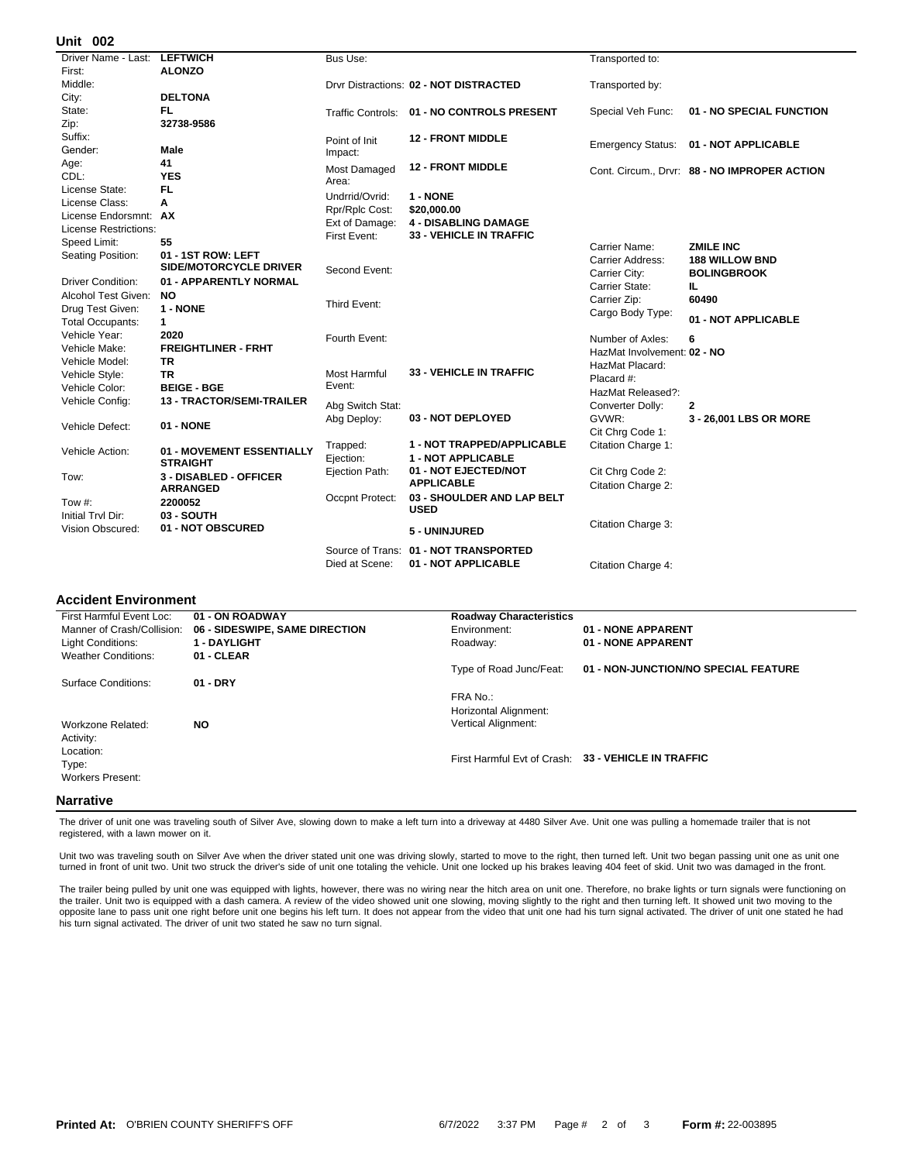#### **002 Unit**

| UIIIL VU <i>l</i>            |                               |                  |                                            |                             |                                            |
|------------------------------|-------------------------------|------------------|--------------------------------------------|-----------------------------|--------------------------------------------|
| Driver Name - Last:          | <b>LEFTWICH</b>               | Bus Use:         |                                            | Transported to:             |                                            |
| First:                       | <b>ALONZO</b>                 |                  |                                            |                             |                                            |
| Middle:                      |                               |                  | Drvr Distractions: 02 - NOT DISTRACTED     | Transported by:             |                                            |
| City:                        | <b>DELTONA</b>                |                  |                                            |                             |                                            |
| State:                       | FL.                           |                  | Traffic Controls: 01 - NO CONTROLS PRESENT | Special Veh Func:           | 01 - NO SPECIAL FUNCTION                   |
| Zip:                         | 32738-9586                    |                  |                                            |                             |                                            |
| Suffix:                      |                               | Point of Init    | <b>12 - FRONT MIDDLE</b>                   |                             | 01 - NOT APPLICABLE                        |
| Gender:                      | Male                          | Impact:          |                                            | <b>Emergency Status:</b>    |                                            |
| Age:                         | 41                            | Most Damaged     | <b>12 - FRONT MIDDLE</b>                   |                             | Cont. Circum Drvr: 88 - NO IMPROPER ACTION |
| CDL:                         | <b>YES</b>                    | Area:            |                                            |                             |                                            |
| License State:               | FL.                           | Undrrid/Ovrid:   | 1 - NONE                                   |                             |                                            |
| License Class:               | A                             | Rpr/Rplc Cost:   | \$20,000.00                                |                             |                                            |
| License Endorsmnt: AX        |                               | Ext of Damage:   | <b>4 - DISABLING DAMAGE</b>                |                             |                                            |
| <b>License Restrictions:</b> |                               | First Event:     | <b>33 - VEHICLE IN TRAFFIC</b>             |                             |                                            |
| Speed Limit:                 | 55                            |                  |                                            | Carrier Name:               | <b>ZMILE INC</b>                           |
| Seating Position:            | 01 - 1ST ROW: LEFT            |                  |                                            | Carrier Address:            | <b>188 WILLOW BND</b>                      |
|                              | <b>SIDE/MOTORCYCLE DRIVER</b> | Second Event:    |                                            | Carrier City:               | <b>BOLINGBROOK</b>                         |
| <b>Driver Condition:</b>     | 01 - APPARENTLY NORMAL        |                  |                                            | Carrier State:              | IL.                                        |
| Alcohol Test Given:          | <b>NO</b>                     |                  |                                            | Carrier Zip:                | 60490                                      |
| Drug Test Given:             | 1 - NONE                      | Third Event:     |                                            | Cargo Body Type:            |                                            |
| <b>Total Occupants:</b>      | $\mathbf 1$                   |                  |                                            |                             | 01 - NOT APPLICABLE                        |
| Vehicle Year:                | 2020                          | Fourth Event:    |                                            | Number of Axles:            | 6                                          |
| Vehicle Make:                | <b>FREIGHTLINER - FRHT</b>    |                  |                                            | HazMat Involvement: 02 - NO |                                            |
| Vehicle Model:               | <b>TR</b>                     |                  |                                            | HazMat Placard:             |                                            |
| Vehicle Style:               | TR                            | Most Harmful     | <b>33 - VEHICLE IN TRAFFIC</b>             | Placard #:                  |                                            |
| Vehicle Color:               | <b>BEIGE - BGE</b>            | Event:           |                                            | HazMat Released?:           |                                            |
| Vehicle Config:              | 13 - TRACTOR/SEMI-TRAILER     | Abg Switch Stat: |                                            | Converter Dolly:            | 2                                          |
|                              |                               | Abg Deploy:      | 03 - NOT DEPLOYED                          | GVWR:                       | 3 - 26,001 LBS OR MORE                     |
| Vehicle Defect:              | 01 - NONE                     |                  |                                            | Cit Chrg Code 1:            |                                            |
|                              |                               | Trapped:         | 1 - NOT TRAPPED/APPLICABLE                 | Citation Charge 1:          |                                            |
| Vehicle Action:              | 01 - MOVEMENT ESSENTIALLY     | Ejection:        | <b>1 - NOT APPLICABLE</b>                  |                             |                                            |
|                              | <b>STRAIGHT</b>               | Ejection Path:   | 01 - NOT EJECTED/NOT                       | Cit Chrg Code 2:            |                                            |
| Tow:                         | 3 - DISABLED - OFFICER        |                  | <b>APPLICABLE</b>                          | Citation Charge 2:          |                                            |
|                              | <b>ARRANGED</b>               | Occpnt Protect:  | 03 - SHOULDER AND LAP BELT                 |                             |                                            |
| Tow $#$ :                    | 2200052                       |                  | <b>USED</b>                                |                             |                                            |
| Initial Trvl Dir:            | 03 - SOUTH                    |                  |                                            | Citation Charge 3:          |                                            |
| Vision Obscured:             | 01 - NOT OBSCURED             |                  | 5 - UNINJURED                              |                             |                                            |
|                              |                               |                  | Source of Trans: 01 - NOT TRANSPORTED      |                             |                                            |
|                              |                               | Died at Scene:   | 01 - NOT APPLICABLE                        | Citation Charge 4:          |                                            |
|                              |                               |                  |                                            |                             |                                            |

#### **Accident Environment**

| First Harmful Event Loc:                      | 01 - ON ROADWAY                | <b>Roadway Characteristics</b>    |                                                     |
|-----------------------------------------------|--------------------------------|-----------------------------------|-----------------------------------------------------|
| Manner of Crash/Collision:                    | 06 - SIDESWIPE, SAME DIRECTION | Environment:                      | 01 - NONE APPARENT                                  |
| Light Conditions:                             | <b>1 - DAYLIGHT</b>            | Roadway:                          | 01 - NONE APPARENT                                  |
| <b>Weather Conditions:</b>                    | 01 - CLEAR                     |                                   |                                                     |
|                                               |                                | Type of Road Junc/Feat:           | 01 - NON-JUNCTION/NO SPECIAL FEATURE                |
| Surface Conditions:                           | $01 - DRY$                     |                                   |                                                     |
|                                               |                                | FRA No.:<br>Horizontal Alignment: |                                                     |
| Workzone Related:<br>Activity:                | <b>NO</b>                      | <b>Vertical Alignment:</b>        |                                                     |
| Location:<br>Type:<br><b>Workers Present:</b> |                                |                                   | First Harmful Evt of Crash: 33 - VEHICLE IN TRAFFIC |
| Narrativo                                     |                                |                                   |                                                     |

#### **Narrative**

The driver of unit one was traveling south of Silver Ave, slowing down to make a left turn into a driveway at 4480 Silver Ave. Unit one was pulling a homemade trailer that is not registered, with a lawn mower on it.

Unit two was traveling south on Silver Ave when the driver stated unit one was driving slowly, started to move to the right, then turned left. Unit two began passing unit one as unit one turned in front of unit two. Unit two struck the driver's side of unit one totaling the vehicle. Unit one locked up his brakes leaving 404 feet of skid. Unit two was damaged in the front.

The trailer being pulled by unit one was equipped with lights, however, there was no wiring near the hitch area on unit one. Therefore, no brake lights or turn signals were functioning on the trailer. Unit two is equipped with a dash camera. A review of the video showed unit one slowing, moving slightly to the right and then turning left. It showed unit two moving to the opposite lane to pass unit one right before unit one begins his left turn. It does not appear from the video that unit one had his turn signal activated. The driver of unit one stated he had<br>his turn signal activated. The